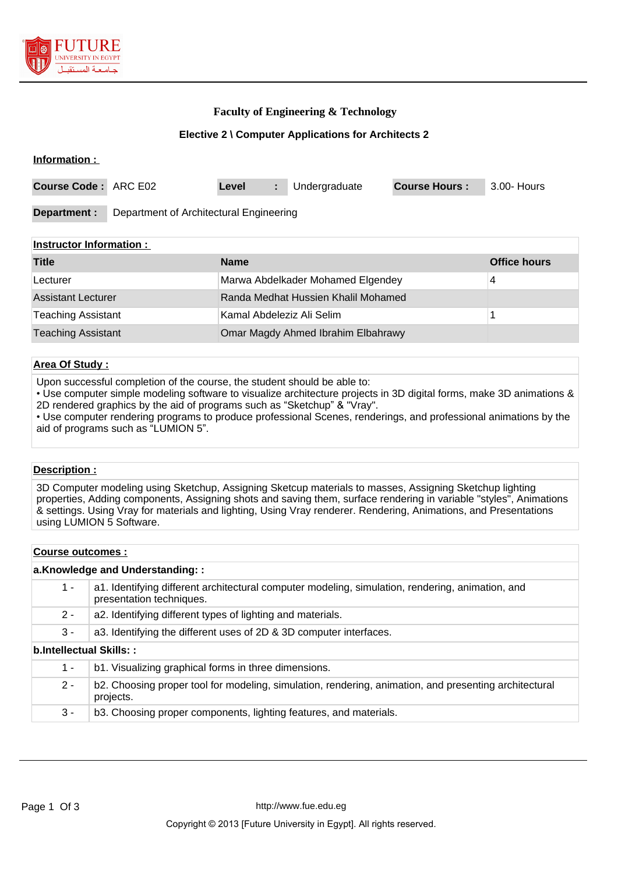

## **Faculty of Engineering & Technology**

### **Elective 2 \ Computer Applications for Architects 2**

| Information :               |                                         |       |   |               |                      |             |
|-----------------------------|-----------------------------------------|-------|---|---------------|----------------------|-------------|
| <b>Course Code: ARC E02</b> |                                         | Level | ÷ | Undergraduate | <b>Course Hours:</b> | 3.00- Hours |
| Department :                | Department of Architectural Engineering |       |   |               |                      |             |

#### **Instructor Information :**

| <b>Title</b>              | <b>Name</b>                         | <b>Office hours</b> |
|---------------------------|-------------------------------------|---------------------|
| Lecturer                  | Marwa Abdelkader Mohamed Elgendey   | 4                   |
| <b>Assistant Lecturer</b> | Randa Medhat Hussien Khalil Mohamed |                     |
| <b>Teaching Assistant</b> | Kamal Abdeleziz Ali Selim           |                     |
| <b>Teaching Assistant</b> | Omar Magdy Ahmed Ibrahim Elbahrawy  |                     |

### **Area Of Study :**

Upon successful completion of the course, the student should be able to:

• Use computer simple modeling software to visualize architecture projects in 3D digital forms, make 3D animations & 2D rendered graphics by the aid of programs such as "Sketchup" & "Vray".

• Use computer rendering programs to produce professional Scenes, renderings, and professional animations by the aid of programs such as "LUMION 5".

#### **Description :**

3D Computer modeling using Sketchup, Assigning Sketcup materials to masses, Assigning Sketchup lighting properties, Adding components, Assigning shots and saving them, surface rendering in variable "styles", Animations & settings. Using Vray for materials and lighting, Using Vray renderer. Rendering, Animations, and Presentations using LUMION 5 Software.

#### **Course outcomes :**

#### **a.Knowledge and Understanding: :**

| 1 -                     | a1. Identifying different architectural computer modeling, simulation, rendering, animation, and<br>presentation techniques. |  |  |
|-------------------------|------------------------------------------------------------------------------------------------------------------------------|--|--|
| $2 -$                   | a2. Identifying different types of lighting and materials.                                                                   |  |  |
| 3 -                     | a3. Identifying the different uses of 2D & 3D computer interfaces.                                                           |  |  |
| b.Intellectual Skills:: |                                                                                                                              |  |  |
| 1 -                     | b1. Visualizing graphical forms in three dimensions.                                                                         |  |  |
| $2 -$                   | b2. Choosing proper tool for modeling, simulation, rendering, animation, and presenting architectural<br>projects.           |  |  |

3 - b3. Choosing proper components, lighting features, and materials.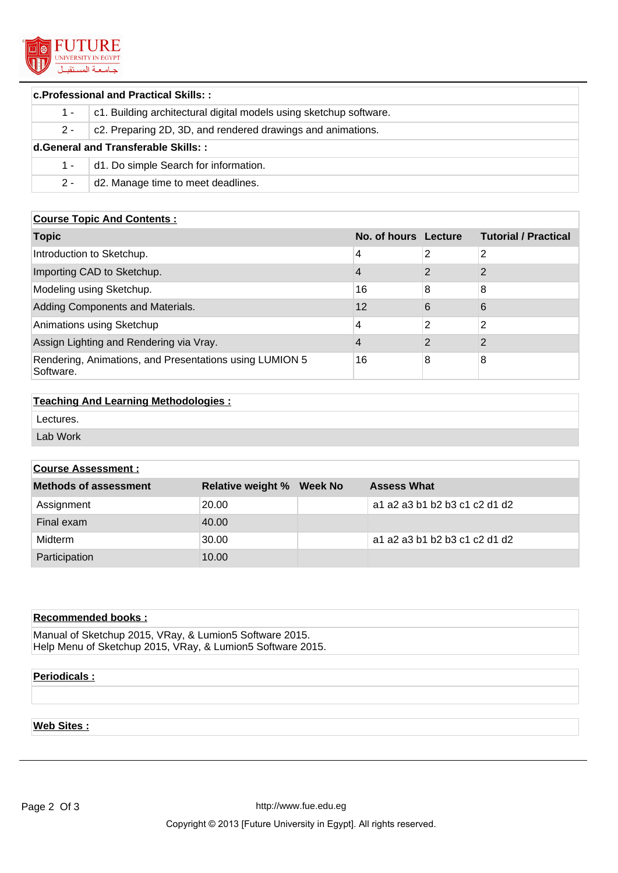

| <b>c.Professional and Practical Skills::</b> |                                                                    |  |  |
|----------------------------------------------|--------------------------------------------------------------------|--|--|
| $1 -$                                        | c1. Building architectural digital models using sketchup software. |  |  |
| $2 -$                                        | c2. Preparing 2D, 3D, and rendered drawings and animations.        |  |  |
| d.General and Transferable Skills::          |                                                                    |  |  |
| $1 -$                                        | d1. Do simple Search for information.                              |  |  |
| $2 -$                                        | d2. Manage time to meet deadlines.                                 |  |  |

### **Course Topic And Contents :**

| <b>Topic</b>                                                         | No. of hours Lecture |               | <b>Tutorial / Practical</b> |
|----------------------------------------------------------------------|----------------------|---------------|-----------------------------|
| Introduction to Sketchup.                                            | 4                    | 2             | 2                           |
| Importing CAD to Sketchup.                                           | 4                    | っ             | $\mathcal{P}$               |
| Modeling using Sketchup.                                             | 16                   | 8             | 8                           |
| Adding Components and Materials.                                     | 12                   | 6             | 6                           |
| Animations using Sketchup                                            | 4                    | 2             | 2                           |
| Assign Lighting and Rendering via Vray.                              | 4                    | $\mathcal{P}$ | $\mathcal{P}$               |
| Rendering, Animations, and Presentations using LUMION 5<br>Software. | 16                   | 8             | 8                           |

### **Teaching And Learning Methodologies :**

Lectures.

Lab Work

## **Course Assessment :**

| <b>Methods of assessment</b> | <b>Relative weight % Week No</b> | <b>Assess What</b>            |
|------------------------------|----------------------------------|-------------------------------|
| Assignment                   | 20.00                            | a1 a2 a3 b1 b2 b3 c1 c2 d1 d2 |
| Final exam                   | 40.00                            |                               |
| Midterm                      | 30.00                            | a1 a2 a3 b1 b2 b3 c1 c2 d1 d2 |
| Participation                | 10.00                            |                               |

## **Recommended books :**

Manual of Sketchup 2015, VRay, & Lumion5 Software 2015. Help Menu of Sketchup 2015, VRay, & Lumion5 Software 2015.

# **Periodicals :**

# **Web Sites :**